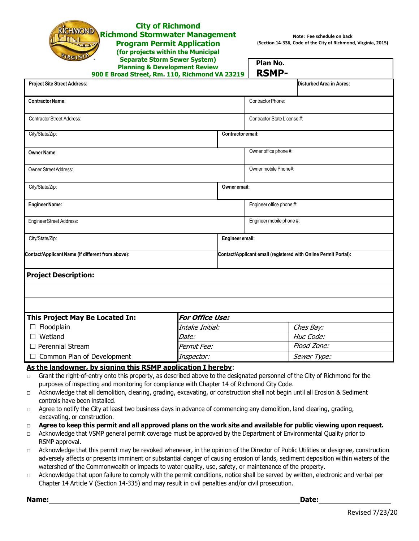| <b>City of Richmond</b><br><b>RÍCHMOND</b><br><b>Richmond Stormwater Management</b><br><b>Program Permit Application</b><br>(for projects within the Municipal<br><b>Separate Storm Sewer System)</b><br><b>Planning &amp; Development Review</b><br>900 E Broad Street, Rm. 110, Richmond VA 23219                                                                                                                                                                                                                                                                                                          |                   | Plan No.<br><b>RSMP-</b>                                        | Note: Fee schedule on back<br>(Section 14-336, Code of the City of Richmond, Virginia, 2015) |  |
|--------------------------------------------------------------------------------------------------------------------------------------------------------------------------------------------------------------------------------------------------------------------------------------------------------------------------------------------------------------------------------------------------------------------------------------------------------------------------------------------------------------------------------------------------------------------------------------------------------------|-------------------|-----------------------------------------------------------------|----------------------------------------------------------------------------------------------|--|
| <b>Project Site Street Address:</b>                                                                                                                                                                                                                                                                                                                                                                                                                                                                                                                                                                          |                   |                                                                 | Disturbed Area in Acres:                                                                     |  |
| Contractor Name:                                                                                                                                                                                                                                                                                                                                                                                                                                                                                                                                                                                             |                   | Contractor Phone:                                               |                                                                                              |  |
| <b>Contractor Street Address:</b>                                                                                                                                                                                                                                                                                                                                                                                                                                                                                                                                                                            |                   |                                                                 | Contractor State License #:                                                                  |  |
| City/State/Zip:                                                                                                                                                                                                                                                                                                                                                                                                                                                                                                                                                                                              | Contractor email: |                                                                 |                                                                                              |  |
| <b>Owner Name:</b>                                                                                                                                                                                                                                                                                                                                                                                                                                                                                                                                                                                           |                   | Owner office phone #:                                           |                                                                                              |  |
| Owner Street Address:                                                                                                                                                                                                                                                                                                                                                                                                                                                                                                                                                                                        |                   |                                                                 | Owner mobile Phone#:                                                                         |  |
| City/State/Zip:<br>Owner email:                                                                                                                                                                                                                                                                                                                                                                                                                                                                                                                                                                              |                   |                                                                 |                                                                                              |  |
| <b>Engineer Name:</b>                                                                                                                                                                                                                                                                                                                                                                                                                                                                                                                                                                                        |                   | Engineer office phone #:                                        |                                                                                              |  |
| Engineer Street Address:                                                                                                                                                                                                                                                                                                                                                                                                                                                                                                                                                                                     |                   |                                                                 | Engineer mobile phone #:                                                                     |  |
| Engineer email:<br>City/State/Zip:                                                                                                                                                                                                                                                                                                                                                                                                                                                                                                                                                                           |                   |                                                                 |                                                                                              |  |
| Contact/Applicant Name (if different from above):                                                                                                                                                                                                                                                                                                                                                                                                                                                                                                                                                            |                   | Contact/Applicant email (registered with Online Permit Portal): |                                                                                              |  |
| <b>Project Description:</b>                                                                                                                                                                                                                                                                                                                                                                                                                                                                                                                                                                                  |                   |                                                                 |                                                                                              |  |
|                                                                                                                                                                                                                                                                                                                                                                                                                                                                                                                                                                                                              |                   |                                                                 |                                                                                              |  |
|                                                                                                                                                                                                                                                                                                                                                                                                                                                                                                                                                                                                              |                   |                                                                 |                                                                                              |  |
| This Project May Be Located In:                                                                                                                                                                                                                                                                                                                                                                                                                                                                                                                                                                              | For Office Use:   |                                                                 |                                                                                              |  |
| Floodplain<br>$\Box$                                                                                                                                                                                                                                                                                                                                                                                                                                                                                                                                                                                         | Intake Initial:   |                                                                 | Ches Bay:                                                                                    |  |
| Wetland                                                                                                                                                                                                                                                                                                                                                                                                                                                                                                                                                                                                      | <i>Date:</i>      |                                                                 | Huc Code:                                                                                    |  |
| $\Box$ Perennial Stream                                                                                                                                                                                                                                                                                                                                                                                                                                                                                                                                                                                      | Permit Fee:       |                                                                 | Flood Zone:                                                                                  |  |
| Common Plan of Development<br>$\Box$                                                                                                                                                                                                                                                                                                                                                                                                                                                                                                                                                                         | Inspector:        |                                                                 | Sewer Type:                                                                                  |  |
| As the landowner, by signing this RSMP application I hereby:<br>Grant the right-of-entry onto this property, as described above to the designated personnel of the City of Richmond for the<br>$\Box$<br>purposes of inspecting and monitoring for compliance with Chapter 14 of Richmond City Code.<br>Acknowledge that all demolition, clearing, grading, excavating, or construction shall not begin until all Erosion & Sediment<br>$\Box$<br>controls have been installed.<br>Agree to notify the City at least two business days in advance of commencing any demolition, land clearing, grading,<br>□ |                   |                                                                 |                                                                                              |  |

- excavating, or construction.
- □ **Agree to keep this permit and all approved plans on the work site and available for public viewing upon request.**
- □ Acknowledge that VSMP general permit coverage must be approved by the Department of Environmental Quality prior to RSMP approval.
- □ Acknowledge that this permit may be revoked whenever, in the opinion of the Director of Public Utilities or designee, construction adversely affects or presents imminent or substantial danger of causing erosion of lands, sediment deposition within waters of the watershed of the Commonwealth or impacts to water quality, use, safety, or maintenance of the property.
- □ Acknowledge that upon failure to comply with the permit conditions, notice shall be served by written, electronic and verbal per Chapter 14 Article V (Section 14-335) and may result in civil penalties and/or civil prosecution.